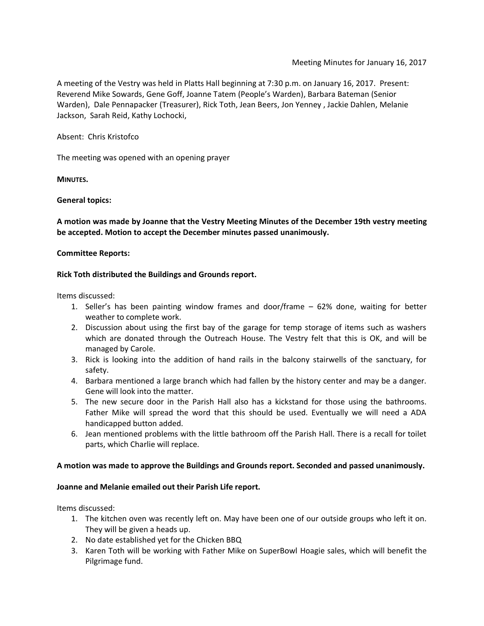A meeting of the Vestry was held in Platts Hall beginning at 7:30 p.m. on January 16, 2017. Present: Reverend Mike Sowards, Gene Goff, Joanne Tatem (People's Warden), Barbara Bateman (Senior Warden), Dale Pennapacker (Treasurer), Rick Toth, Jean Beers, Jon Yenney , Jackie Dahlen, Melanie Jackson, Sarah Reid, Kathy Lochocki,

Absent: Chris Kristofco

The meeting was opened with an opening prayer

**MINUTES.**

**General topics:**

**A motion was made by Joanne that the Vestry Meeting Minutes of the December 19th vestry meeting be accepted. Motion to accept the December minutes passed unanimously.**

### **Committee Reports:**

### **Rick Toth distributed the Buildings and Grounds report.**

Items discussed:

- 1. Seller's has been painting window frames and door/frame 62% done, waiting for better weather to complete work.
- 2. Discussion about using the first bay of the garage for temp storage of items such as washers which are donated through the Outreach House. The Vestry felt that this is OK, and will be managed by Carole.
- 3. Rick is looking into the addition of hand rails in the balcony stairwells of the sanctuary, for safety.
- 4. Barbara mentioned a large branch which had fallen by the history center and may be a danger. Gene will look into the matter.
- 5. The new secure door in the Parish Hall also has a kickstand for those using the bathrooms. Father Mike will spread the word that this should be used. Eventually we will need a ADA handicapped button added.
- 6. Jean mentioned problems with the little bathroom off the Parish Hall. There is a recall for toilet parts, which Charlie will replace.

## **A motion was made to approve the Buildings and Grounds report. Seconded and passed unanimously.**

## **Joanne and Melanie emailed out their Parish Life report.**

Items discussed:

- 1. The kitchen oven was recently left on. May have been one of our outside groups who left it on. They will be given a heads up.
- 2. No date established yet for the Chicken BBQ
- 3. Karen Toth will be working with Father Mike on SuperBowl Hoagie sales, which will benefit the Pilgrimage fund.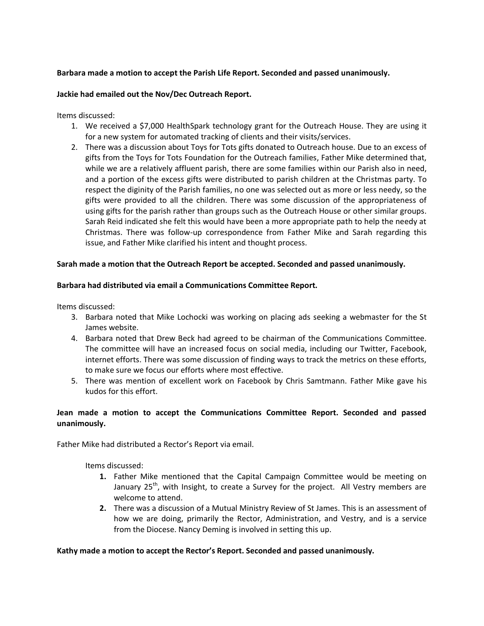## **Barbara made a motion to accept the Parish Life Report. Seconded and passed unanimously.**

### **Jackie had emailed out the Nov/Dec Outreach Report.**

Items discussed:

- 1. We received a \$7,000 HealthSpark technology grant for the Outreach House. They are using it for a new system for automated tracking of clients and their visits/services.
- 2. There was a discussion about Toys for Tots gifts donated to Outreach house. Due to an excess of gifts from the Toys for Tots Foundation for the Outreach families, Father Mike determined that, while we are a relatively affluent parish, there are some families within our Parish also in need, and a portion of the excess gifts were distributed to parish children at the Christmas party. To respect the diginity of the Parish families, no one was selected out as more or less needy, so the gifts were provided to all the children. There was some discussion of the appropriateness of using gifts for the parish rather than groups such as the Outreach House or other similar groups. Sarah Reid indicated she felt this would have been a more appropriate path to help the needy at Christmas. There was follow-up correspondence from Father Mike and Sarah regarding this issue, and Father Mike clarified his intent and thought process.

### **Sarah made a motion that the Outreach Report be accepted. Seconded and passed unanimously.**

### **Barbara had distributed via email a Communications Committee Report.**

Items discussed:

- 3. Barbara noted that Mike Lochocki was working on placing ads seeking a webmaster for the St James website.
- 4. Barbara noted that Drew Beck had agreed to be chairman of the Communications Committee. The committee will have an increased focus on social media, including our Twitter, Facebook, internet efforts. There was some discussion of finding ways to track the metrics on these efforts, to make sure we focus our efforts where most effective.
- 5. There was mention of excellent work on Facebook by Chris Samtmann. Father Mike gave his kudos for this effort.

# **Jean made a motion to accept the Communications Committee Report. Seconded and passed unanimously.**

Father Mike had distributed a Rector's Report via email.

Items discussed:

- **1.** Father Mike mentioned that the Capital Campaign Committee would be meeting on January 25<sup>th</sup>, with Insight, to create a Survey for the project. All Vestry members are welcome to attend.
- **2.** There was a discussion of a Mutual Ministry Review of St James. This is an assessment of how we are doing, primarily the Rector, Administration, and Vestry, and is a service from the Diocese. Nancy Deming is involved in setting this up.

#### **Kathy made a motion to accept the Rector's Report. Seconded and passed unanimously.**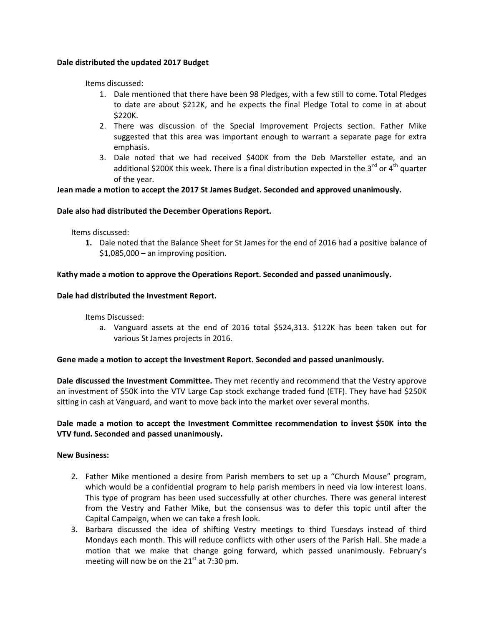### **Dale distributed the updated 2017 Budget**

Items discussed:

- 1. Dale mentioned that there have been 98 Pledges, with a few still to come. Total Pledges to date are about \$212K, and he expects the final Pledge Total to come in at about \$220K.
- 2. There was discussion of the Special Improvement Projects section. Father Mike suggested that this area was important enough to warrant a separate page for extra emphasis.
- 3. Dale noted that we had received \$400K from the Deb Marsteller estate, and an additional \$200K this week. There is a final distribution expected in the 3<sup>rd</sup> or 4<sup>th</sup> quarter of the year.

## **Jean made a motion to accept the 2017 St James Budget. Seconded and approved unanimously.**

### **Dale also had distributed the December Operations Report.**

Items discussed:

**1.** Dale noted that the Balance Sheet for St James for the end of 2016 had a positive balance of \$1,085,000 – an improving position.

### **Kathy made a motion to approve the Operations Report. Seconded and passed unanimously.**

### **Dale had distributed the Investment Report.**

Items Discussed:

a. Vanguard assets at the end of 2016 total \$524,313. \$122K has been taken out for various St James projects in 2016.

#### **Gene made a motion to accept the Investment Report. Seconded and passed unanimously.**

**Dale discussed the Investment Committee.** They met recently and recommend that the Vestry approve an investment of \$50K into the VTV Large Cap stock exchange traded fund (ETF). They have had \$250K sitting in cash at Vanguard, and want to move back into the market over several months.

# **Dale made a motion to accept the Investment Committee recommendation to invest \$50K into the VTV fund. Seconded and passed unanimously.**

#### **New Business:**

- 2. Father Mike mentioned a desire from Parish members to set up a "Church Mouse" program, which would be a confidential program to help parish members in need via low interest loans. This type of program has been used successfully at other churches. There was general interest from the Vestry and Father Mike, but the consensus was to defer this topic until after the Capital Campaign, when we can take a fresh look.
- 3. Barbara discussed the idea of shifting Vestry meetings to third Tuesdays instead of third Mondays each month. This will reduce conflicts with other users of the Parish Hall. She made a motion that we make that change going forward, which passed unanimously. February's meeting will now be on the  $21<sup>st</sup>$  at 7:30 pm.